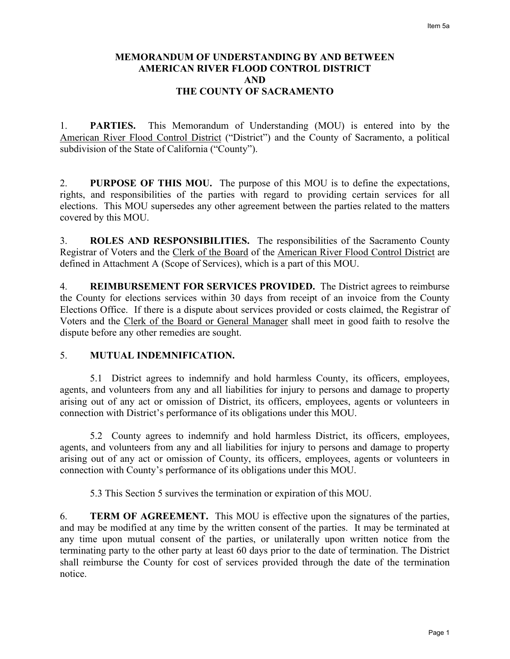# **MEMORANDUM OF UNDERSTANDING BY AND BETWEEN AMERICAN RIVER FLOOD CONTROL DISTRICT AND THE COUNTY OF SACRAMENTO**

1. **PARTIES.** This Memorandum of Understanding (MOU) is entered into by the American River Flood Control District ("District") and the County of Sacramento, a political subdivision of the State of California ("County").

2. **PURPOSE OF THIS MOU.** The purpose of this MOU is to define the expectations, rights, and responsibilities of the parties with regard to providing certain services for all elections. This MOU supersedes any other agreement between the parties related to the matters covered by this MOU.

3. **ROLES AND RESPONSIBILITIES.** The responsibilities of the Sacramento County Registrar of Voters and the Clerk of the Board of the American River Flood Control District are defined in Attachment A (Scope of Services), which is a part of this MOU.

4. **REIMBURSEMENT FOR SERVICES PROVIDED.** The District agrees to reimburse the County for elections services within 30 days from receipt of an invoice from the County Elections Office. If there is a dispute about services provided or costs claimed, the Registrar of Voters and the Clerk of the Board or General Manager shall meet in good faith to resolve the dispute before any other remedies are sought.

#### 5. **MUTUAL INDEMNIFICATION.**

5.1 District agrees to indemnify and hold harmless County, its officers, employees, agents, and volunteers from any and all liabilities for injury to persons and damage to property arising out of any act or omission of District, its officers, employees, agents or volunteers in connection with District's performance of its obligations under this MOU.

5.2 County agrees to indemnify and hold harmless District, its officers, employees, agents, and volunteers from any and all liabilities for injury to persons and damage to property arising out of any act or omission of County, its officers, employees, agents or volunteers in connection with County's performance of its obligations under this MOU.

5.3 This Section 5 survives the termination or expiration of this MOU.

6. **TERM OF AGREEMENT.** This MOU is effective upon the signatures of the parties, and may be modified at any time by the written consent of the parties. It may be terminated at any time upon mutual consent of the parties, or unilaterally upon written notice from the terminating party to the other party at least 60 days prior to the date of termination. The District shall reimburse the County for cost of services provided through the date of the termination notice.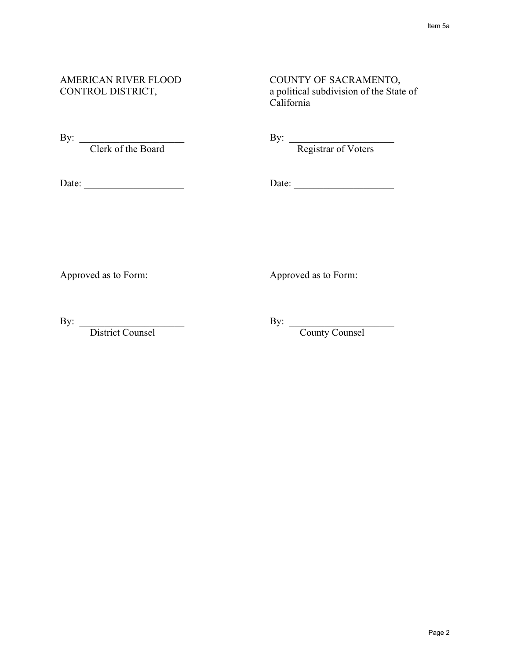# AMERICAN RIVER FLOOD COUNTY OF SACRAMENTO, CONTROL DISTRICT, a political subdivision of the State of California

By: Clerk of the Board

By:  $\frac{1}{\text{Negative of Voters}}$ 

Date: \_\_\_\_\_\_\_\_\_\_\_\_\_\_\_\_\_\_\_\_ Date: \_\_\_\_\_\_\_\_\_\_\_\_\_\_\_\_\_\_\_\_

Approved as to Form: Approved as to Form:

By: <u>District Counsel</u>

By: \_\_\_\_\_\_\_\_\_\_\_\_\_\_\_\_\_\_\_\_\_ By: \_\_\_\_\_\_\_\_\_\_\_\_\_\_\_\_\_\_\_\_\_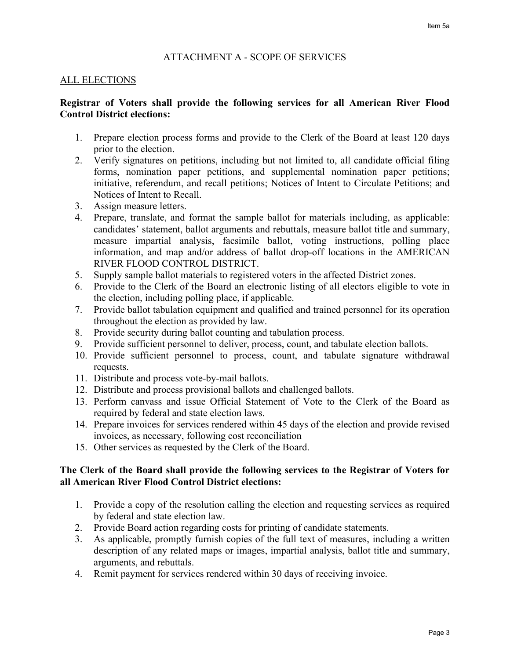### ATTACHMENT A - SCOPE OF SERVICES

#### ALL ELECTIONS

### **Registrar of Voters shall provide the following services for all American River Flood Control District elections:**

- 1. Prepare election process forms and provide to the Clerk of the Board at least 120 days prior to the election.
- 2. Verify signatures on petitions, including but not limited to, all candidate official filing forms, nomination paper petitions, and supplemental nomination paper petitions; initiative, referendum, and recall petitions; Notices of Intent to Circulate Petitions; and Notices of Intent to Recall.
- 3. Assign measure letters.
- 4. Prepare, translate, and format the sample ballot for materials including, as applicable: candidates' statement, ballot arguments and rebuttals, measure ballot title and summary, measure impartial analysis, facsimile ballot, voting instructions, polling place information, and map and/or address of ballot drop-off locations in the AMERICAN RIVER FLOOD CONTROL DISTRICT.
- 5. Supply sample ballot materials to registered voters in the affected District zones.
- 6. Provide to the Clerk of the Board an electronic listing of all electors eligible to vote in the election, including polling place, if applicable.
- 7. Provide ballot tabulation equipment and qualified and trained personnel for its operation throughout the election as provided by law.
- 8. Provide security during ballot counting and tabulation process.
- 9. Provide sufficient personnel to deliver, process, count, and tabulate election ballots.
- 10. Provide sufficient personnel to process, count, and tabulate signature withdrawal requests.
- 11. Distribute and process vote-by-mail ballots.
- 12. Distribute and process provisional ballots and challenged ballots.
- 13. Perform canvass and issue Official Statement of Vote to the Clerk of the Board as required by federal and state election laws.
- 14. Prepare invoices for services rendered within 45 days of the election and provide revised invoices, as necessary, following cost reconciliation
- 15. Other services as requested by the Clerk of the Board.

#### **The Clerk of the Board shall provide the following services to the Registrar of Voters for all American River Flood Control District elections:**

- 1. Provide a copy of the resolution calling the election and requesting services as required by federal and state election law.
- 2. Provide Board action regarding costs for printing of candidate statements.
- 3. As applicable, promptly furnish copies of the full text of measures, including a written description of any related maps or images, impartial analysis, ballot title and summary, arguments, and rebuttals.
- 4. Remit payment for services rendered within 30 days of receiving invoice.